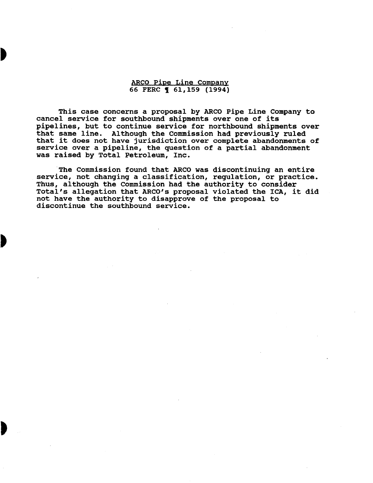ARCO Pipe Line Company 66 FERC **1** 61, 159 (1994)

This case concerns a proposal by ARCO Pipe Line Company to cancel service for southbound shipments over one of its pipelines, but to continue service for northbound shipments over that same line. Although the Commission had previously ruled that it does not have jurisdiction over complete abandonments of service over a pipeline, the question of a partial abandonment was raised by Total Petroleum, Inc.

The Commission found that ARCO was discontinuing an entire service, not changing a classification, regulation, or practice. Thus, although the Commission had the authority to consider Total's allegation that ARCO's proposal violated the ICA, it did not have the authority to disapprove of the proposal to discontinue the southbound service.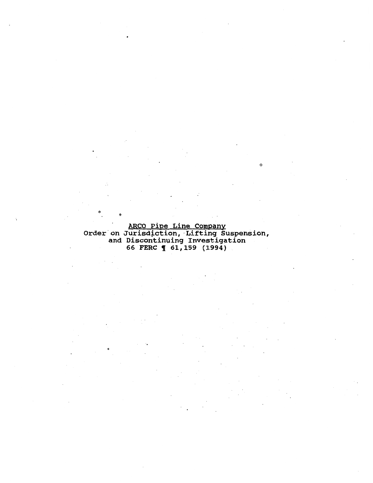ARCO Pipe Line Company<br>Order on Jurisdiction, Lifting Suspension, and Discontinuing Investigation 66 FERC **1** 61,159 (1994)

°. •

 $\circ$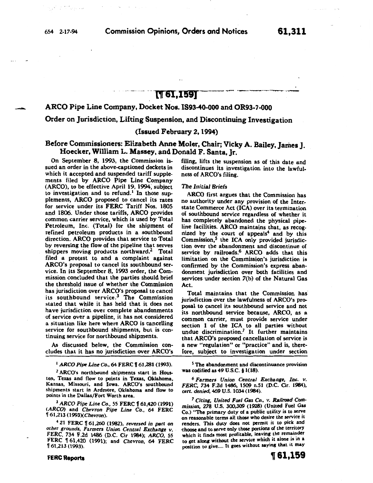-<br>الأناس.<br>-

# **M61,1591**

# ARco Pipe Line Company, Docket Nos. 1893-40-000 and OR93-7-000

### Order on Jurisdiction, Lifting Suspension, and Discontinuing Investigation

### (Issued February 2, 1994)

# Before Commissioners: Elizabeth Anne Moler, Chair; Vicky A. Bailey, James J. Hoecker, William L. Massey, and Donald F. Santa, Jr.

On September 8, 1993, the Commission issued an order in the above-captioned dockets in which it accepted and suspended tariff supplements filed by ARCO Pipe Line Company (ARCO), to be effective April 19, 1994; subject to investigation and to refund.<sup>1</sup> In those supplements, ARCO proposed to cancel its rates for service under its FERC Tariff Nos. 1805 and 1806. Under those tariffs, ARCO provides common carrier service, which is used by Total Petroleum, Inc. (Total) for the shipment of refined petroleum products in a southbound direction. ARCO provides that service to Total by reversing the flow of the pipeline that serves shippers moving products northward.<sup>2</sup> Total filed a protest to and a complaint against ARCO's proposal to cancel its southbound service. In its September 8, 1993 order, the Commission concluded that the parties should brief the threshold issue of whether the Commission has jurisdiction over ARCO's proposal to cancel its southbound service.3 The Commission stated that while it has held that it does not have jurisdiction over complete abandonments of service over a pipeline, it has not considered a situation like here where ARCO is cancelling service for southbound shipments, but is continuing service for northbound shipments.

As discussed below, the Commission concludes that it has no jurisdiction over ARCO's

<sup>1</sup> ARCO Pipe Line Co., 64 FERC | 61,281 (1993).

2 ARCO's northbound shipments start in Houston, Texas. and flow to points in Texas, Oklahoma, Kansas, Missouri, and Iowa. ARCO's southbound shipments start in Ardmore, Oklahoma and flow to points in the Dallas/Fort Worth area.

<sup>3</sup>*ARCO Pipe Line Co., 55* FERC f 61,420 (1991) *<ARCO)* and *Chevron Pipe Line Co.,* 64 FERC Y 61,213 (1993XChevron).

4 21 FERC Y 61,260 (1982), *reversed in part on other grounds, Farmers Union Central Exchange v.*  FERC, 734 F.2d 1486 (D.C. Cir 1984); *ARCO,* 55 FERC n 61,420 (1991); and *Chevron,* 64 FERC n 61,213 (1993).

FERC Reports

filing, lifts the suspension as of this date and discontinues its investigation into the lawfulness of ARCO's filing.

#### *The Initial Briefs*

ARCO first argues that the Commission has no authority under any provision of the Inter. state Commerce Act (ICA) over its termination of southbound service regardless of whether it has completely abandoned the physical pipeline facilities. ARCO maintains that, as recognized by the court of appeals<sup>4</sup> and by this  $Commission<sub>1</sub>$ <sup>5</sup> the ICA only provided jurisdiction over the abandonment and discontinue of service by railroads.<sup>6</sup> ARCO adds that this limitation on the Commission's jurisdiction is confirmed by the Commission's express abandonment jurisdiction over both facilities and services under section 7(b) of the Natural Gas Act.

Total maintains that the Commission has jurisdiction over the lawfulness of ARCO's proposal to cancel its southbound service and not its northbound service because, ARCO, as a common carrier, must provide service under section 1 of the ICA to all parties without undue discrimination.? It further maintains that ARCO's proposed cancellation of service is a new "regulation" or "practice" and is, therefore, subject to investigation under section

*s* The abandonment and discontinuance provision was codified as 49 U.S.C. § 1(18).

<sup>6</sup>*Farmers Union Central Exchange, Inc. v. FERC,* 734 F.2d 1486, 1509 n.51 (D.C. Cir. 1984), *cere. denied,* 469 U.S. 1034 (1984).

7 *Citing, United Fuel* Gas *Co., v. Railroad Commission,* 278 U.S. 300,309 (1928) (United Fuel Gas Co.) "The primary duty of a public utility is to serve on reasonable terms all those who desire the service it renders. This duty does not permit it to pick. and choose and to serve only those portions of the territory which it finds most profitable, leaving the remainder to get along without the service which it alone is in a position to give.... It goes without saying that it may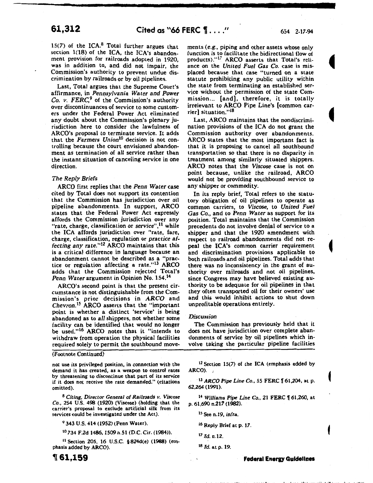15(7) of the ICA. $8$  Total further argues that section 1(18) of the ICA, the ICA's abandonment provision for railroads adopted in 1920, was in addition to, and did not impair, the Commission's authority to prevent undue discrimination by railroads or by oil pipelines.

Last, Total argues that the Supreme Court's affirmance, in *Pennsylvania Water and Power*  Co. *v.* FERC,*9* of the Commission's authority over discontinuances of service to some customers under the Federal Power Act eliminated any doubt about the Commission's plenary jurisdiction here to consider the lawfulness of ARCO's proposal to terminate service. It adds that the *Farmers Union10* decision is not controlling because the court envisioned abandonment as termination of all service rather than the instant situation of canceling service in one direction.

#### *The Reply Briefs*

ARCO first replies that the *Penn Water* case cited by Total does not support its contention that the Commission has jurisdiction over oil pipeline abandonments. In support, ARCO states that the Federal Power Act expressly affords the Commission jurisdiction over any "rate, charge, classification or *service",* 11 while the ICA affords jurisdiction over "rate, fare, charge, classification, regulation or *practice* af*fecting any* rate."12 ARCO maintains that this is a critical difference in language because an abandonment cannot be described as a "practice or regulation affecting a rate."<sup>13</sup> ARCO adds that the Commission rejected Total's *Penn* Water argument in Opinion No. 154.<sup>14</sup>

ARCO's second point is that the present circumstance is not distinguishable from the Commission's prior decisions in *ARCO* and *Chevron. <sup>15</sup>*ARCO asserts that the "important point is whether a distinct 'service' is being abandoned as to *all* shippers, not whether some facility can be identified that would no longer be used."<sup>16</sup> ARCO notes that it "intends to withdraw from operation the physical facilities required solely to permit the southbound move-

(Footnote Continued)

not use its privileged position, in connection with the demand it has created, as a weapon to control rates by threatening to discontinue that part of its service if it does not receive the rate demanded." (citations omitted).

8 *Citing, Director General of Railroads v. Viscose Co.,* 254 U.S. 498 (1920) (Viscose) (holding that the carrier's proposal to exclude artificial silk from its services could be investigated under the Act).

9 343 U.S. 414 (1952) (Penn Water).

10 734 F.2d 1486, 1509 n.Sl (D.C. Cir. (1984)).

11 Section 205, 16 U.S.C. §824d(e) (1988) (emphasis added by ARCO).

<sup>~</sup>**61,159** 

ments (e.g., piping and other assets whose only function is to facilitate the bidirectional flow of products)."17 ARCO asserts that Total's reliance on the *United Fuel Gas Co.* case is misplaced because that case "turned on a state statute prohibiting any public utility within the state from terminating an established service without the permission of the state Commission... [and], therefore, it is totally irrelevant to ARCO Pipe Line's [common carrier] situation." 18

Last, ARCO maintains that the nondiscrimination provisions of the ICA do not grant the Commission authority over abandonments. ARCO states that the most important fact is that it is proposing to cancel all southbound transportation so that there is no disparity in treatment among similarly situated shippers. ARCO notes that the *Viscose* case is not on point because, unlike the railroad, ARCO would not be providing southbound service to any shipper or commodity.

In its reply brief, Total refers to the statutory obligation of oil pipelines to operate as common carriers, to *Viscose,* to *United Fuel*  Gas Co., and to *Penn Water* as support for its position. Total maintains that the Commission precedents do not involve denial of service to a shipper and that the 1920 amendment with respect to railroad abandonments did not repeal the ICA's common carrier requirement and discrimination provisions applicable to both railroads and oil pipelines. Total adds that there was no inconsistency in the grant of authority over railroads and not oil pipelines, since Congress may have believed existing authority to be adequate for oil pipelines in that they often transported oil for their owners' use and this would inhibit actions to shut down unprofitable operations entirely.

#### *Discussion*

The Commission has previously held that it does not have jurisdiction over complete abandonments of service by oil pipelines which involve taking the particular pipeline facilities

12 Section 15(7) of the ICA (emphasis added by ARCO). ,

<sup>13</sup> *ARCO Pipe Line Co.*, 55 FERC  $\parallel$  61,204, at p. 62,264 (1991).

<sup>14</sup> Williams Pipe Line Co., 21 FERC 1 61,260, at p. 61,690 n.217 (1982).

15 See n.19, *infra.* 

<sup>16</sup> Reply Brief at p. 17.

<sup>17</sup>*Id.* n.l2.

<sup>18</sup>*Id.* at p. 19.

**Federal Energy Guidelines**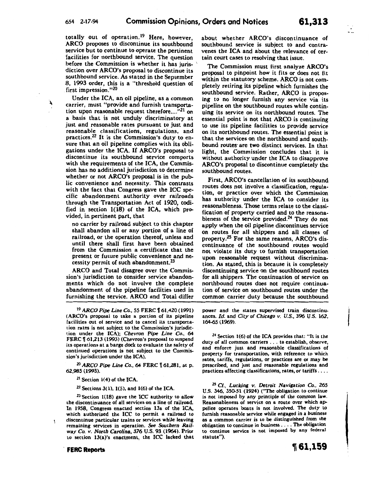totally out of operation.<sup>19</sup> Here, however, ARCO proposes to discontinue its southbound service but to continue to operate the pertinent facilities for northbound service. The question before the Commission is whether it has jurisdiction over ARCO's proposal to discontinue its southbound service. As stated in the September 8, 1993 order, this is a "threshold question of first impression."20

Under the ICA, an oil pipeline, as a common carrier, must "provide and furnish transportation upon reasonable request therefore.... $^{121}$  on a basis that is not unduly discriminatory at just and reasonable rates pursuant to just and reasonable classifications, regulations, and practices.22 It is the Commission's duty to ensure that an oil pipeline complies with its obligations under the ICA. If ARCO's proposal to discontinue its southbound service comports with the requirements of the ICA, the Commission has no additional jurisdiction to determine whether or not ARCO's proposal is in the public convenience and necessity. This contrasts with the fact that Congress gave the ICC specific abandonment authority over railroads through the Transportation Act of 1920, codified in section 1(18) of the ICA, which provided, in pertinent part, that

no carrier by railroad subject to this chapter shall abandon all or any portion of a line of railroad, or the operation thereof, unless and until there shall first have been obtained from the Commission a certificate that the present or future public convenience and necessity permit of such abandonment.<sup>23</sup>

ARCO and Total disagree over the Commission's jurisdiction to consider service abandonments which do not involve the complete abandonment of the pipeline facilities used in furnishing the service. ARCO and Total differ

<sup>19</sup> ARCO Pipe Line Co., 55 FERC 1 61,420 (1991) <ARCO's proposal to take a portion of its pipeline facilities out of service and to cancel its transporta· tion rates is not subject to the Commission's jurisdiction under the ICA); *Chevron Pipe Line Co.,* 64 FERC | 61,213 (1993) (Chevron's proposal to suspend its operations at a barge dock to evaluate the safety of continued operations is not subject to the Commission's jurisdiction under the ICA).

<sup>20</sup> ARCO Pipe Line Co., 64 FERC 161,281, at p. 62,985 (1993).

<sup>21</sup> Section 1(4) of the ICA.

 $22$  Sections 3(1), 1(5), and 1(6) of the ICA.

23 Section 1(18) gave the ICC authority to allow the discontinuance of all services on a line of railroad. In 1958, Congress enacted section 13a of the ICA, which authorized the ICC to permit a railroad to discontinue particular trains or services while leaving remaining services in operation. See *Southern Rail*way *Co. v. North Carolina,* 376 U.S. 93 (1964). Prior to section 13(a)'s enactment, the ICC lacked that

#### . **FERC Reports**

about whether ARCO's discontinuance of southbound service is subject to and contravenes the ICA and about the relevance of certain court cases to resolving that issue.

The Commission must first analyze ARCO's proposal to pinpoint how it fits or does not fit within the statutory scheme. ARCO is not completely retiring its pipeline which furnishes the southbound service. Rather, ARCO is proposing to no longer furnish any service via its pipeline on the southbound routes while continuing its service on its northbound routes. The essential point is not that ARCO is continuing to use its pipeline facilities to provide service on its northbound routes. The essential point is that the services on the northbound and southbound routes· are two distinct services. In that light, the Commission concludes that it is without authority under the ICA to disapprove ARCO's proposal to discontinue completely the southbound routes.

First, ARCO's cancellation of its southbound routes does not involve a classification, regulation, or practice over which the Commission has authority under the ICA to consider its reasonableness. Those terms relate to the classification of property carried and to the reasonableness of the service provided.<sup>24</sup> They do not apply when the oil pipeline discontinues service on routes for all shippers and all classes of property.25 For the same reasons, ARCO's discontinuance of the southbound routes would not violate its duty to furnish transportation upon reasonable request without discrimination. As stated, this is because it is completely discontinuing service on the southbound routes for all shippers. The continuation of service on northbound routes does not require continuation of service on southbound routes under the common carrier duty because the southbound

power and the states supervised train discontinuances. *Id.* and *City of Chicago v. U.S.,* 396 U.S. 162, 164-65 (1969).

 $24$  Section 1(6) of the ICA provides that: "It is the duty of all common carriers ... to establish, observe, and enforce just and reasonable classifications of property for transportation, with reference to which rates, tariffs, regulations, or practices are or may be prescribed, and just and reasonable regulations and practices affecting classifications, rates, or tariffs ....

<sup>25</sup> Cf., Lucking v. Detroit Navigation Co., 265 U.S. 346, 350-51 (1924) (''The obligation to continue is not imposed by any principle of the common Jaw. Reasonableness of service on a route over which appellee operates boats is not involved. The duty to furnish reasonable service while engaged in a business as a common carrier is to be distinguished from the obligation to continue in business .... The obligation to continue service is not imposed by any federal statute").

~ **61,159**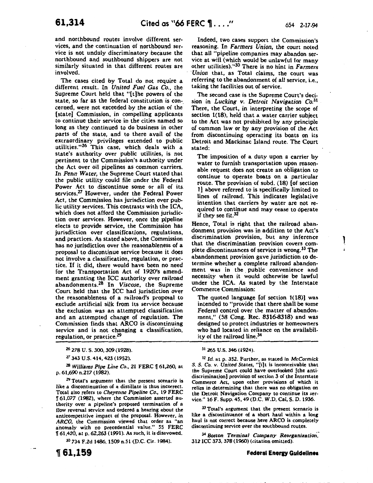l Â

and northbound routes involve different ser· vices, and the continuation of northbound service is not unduly discriminatory because the northbound and southbound shippers are not similarly situated in that different routes are involved.

The cases cited by Total do not require a different result. In *United Fuel Gas Co.,* the Supreme Court held that "[t]he powers of the state, so far as the federal constitution is con· cerned, were not exceeded by the action of the. [state] Commission, in compelling applicants to continue their service in the cities named so long as they continued to do business in other parts of the state, and to there avail of the extraordinary privileges extended to public utilities."26 This case, which deals with a state's authority over public utilities, is not pertinent to the Commission's authority under the Act over oil pipelines as common carriers. In *Penn Water,* the Supreme Court stated that the public utility could file under the Federal Power Act to discontinue some or all of its services.<sup>27</sup> However, under the Federal Power Act, the Commission has jurisdiction over public utility services. This contrasts with the ICA, which does not afford the Commission jurisdiction over services. However, once the pipeline elects to provide service, the Commission has jurisdiction over classifications, regulations, and practices. As stated above, the Commission has no jurisdiction over the reasonableness of a proposal to discontinue service because it does not involve a classification, regulation, or practice. If it did, there would have been no need for the Transportation Act of 1920's amendment granting the ICC authority over railroad abandonments.28 In *Viscose,* the Supreme Court held that the ICC had jurisdiction over the reasonableness of a railroad's proposal to exclude artificial silk from its service because the exclusion was an attempted classification and an attempted change of regulation. The Commission finds that ARCO is discontinuing service and is not changing a classification, regulation, or practice.<sup>29</sup>

<sup>26</sup>278 u. s. 300, 309 ( 1928).

27 343 U.S. 414,423 (1952).

<sup>28</sup>*Williams Pipe Line Co.,* 21 FERC f 61,260, at p. 61,690 n.217 (1982).

<sup>29</sup> Total's argument that the present scenario is like a discontinuation of a distillate is thus incorrect. Total also refers to *Cheyenne Pipeline Co.,* 19 FERC f 61,077 (1982), where the Commission asserted authority over a pipeline's proposed termination of a flow reversal service and ordered a hearing about the anticompetitive impact of the proposal. However, in *ARCO,* the Commission viewed that order as "an anomaly with no precedential value." 55 FERC f 61,420, at p. 62,263 (1991). As such, it is disavowed.

30 734 F.2d 1486, 1509 n.S1 (D.C. Cir. 1984).

<sup>~</sup>**61,159** 

Indeed, two cases support the Commission's reasoning. In *Farmers Union,* the court noted that all "pipeline companies may abandon ser· vice at will (which would be unlawful for many other utilities)."30 There is no hint in *Farmers ·Union* that, as Total claims, the court was referring to the abandonment of all service, i.e., taking the facilities out of service.

The second case is the Supreme Court's decision in *Lucking v. Detroit Navigation* Co.3<sup>1</sup> There, the Court, in interpreting the scope of section 1(18), held that a water carrier subject to the Act was not prohibited by any principle of common law or by any provision of the Act from discontinuing operating its boats on its Detroit and Mackinac Island route. The Court stated:

The imposition of a duty upon a carrier by water to furnish transportation upon reasonable request does not create an obligation to continue to operate boats on a particular route. The provision of subd. (18) [of section 1] above referred to is specifically limited to lines of railroad. This indicates legislative intention that carriers by water are not required to continue and may cease to operate if they see fit.32

Hence, Total is right that the railroad abandonment provision was in addition to the Act's discrimination provision, but any inference that the discrimination provision covers complete discontinuances of service is wrong.<sup>33</sup> The abandonment provision gave jurisdiction to determine whether a complete railroad abandonment was in the public convenience and necessity when it would otherwise be lawful under the ICA. As stated by the Interstate Commerce Commission:

The quoted language [of section 1(18)] was intended to "provide that there shall be some Federal control over the matter of abandonment," (58 Cong. Rec. 8316-8318) and was designed to protect industries or homeowners who had located in reliance on the availability of the railroad line.<sup>34</sup>

<sup>3</sup><sup>1</sup> 265 u.s. 346(1924).

32 *Id.* at p. 352. Further, as stated in *McCormick S. S. Co. v. United* States, "[i]t is inconceivable that the Supreme Court could have overlooked [the anti· discrimination] provision of section 3 of the Interstate Commerce Act, upon other provisions of which it relies in determining that there was no obligation on the Detroit Navigation Company to continue its service." 16 F. Supp. 45, 49 (D.C. W.D. Cal, S. D. 1936.

<sup>33</sup> Total's argument that the present scenario is like a discontinuance of a short haul within a long haul is not correct because here ARCO is completely discontinuing service over the southbound routes.

<sup>34</sup>*Boston Terminal Company Reorganization:*  312 ICC 373, 378 (1960) (citation omitted).

#### **Federal Energy Guidelines**

• II jj, l